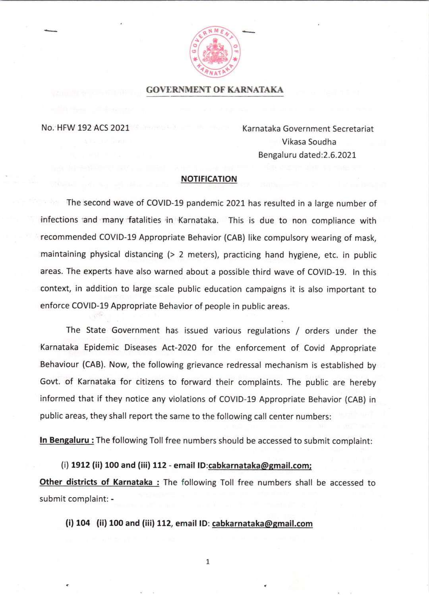

**GOVERNMENT OF KARNATAKA** 

No. HFW 192 ACS 2021

Karnataka Government Secretariat Vikasa Soudha Bengaluru dated:2.6.2021

## NOTIFICATION

The second wave of COVID-19 pandemic 2021 has resulted in a large number of infections and many fatalities in Karnataka. This is due to non compliance with recommended COVID-19 Appropriate Behavior (CAB) like compulsory wearing of mask, maintaining physical distancing (> 2 meters), practicing hand hygiene, etc. in public areas. The experts have also warned about a possible third wave of COVID-19. ln this context, in addition to large scale public education campaigns it is also important to enforce COVID-19 Appropriate Behavior of people in public areas.

The State Government has issued various regulations / orders under the Karnataka Epidemic Diseases Act-2020 for the enforcement of Covid Appropriate Behaviour (CAB). Now, the following grievance redressal mechanism is established by Govt. of Karnataka for citizens to forward their complaints. The public are hereby informed that if they notice any violations of COVID-19 Appropriate Behavior (CAB) in public areas, they shall report the same to the following call center numbers:

In Bengaluru : The following Toll free numbers should be accessed to submit complaint:

(i) 1912 (ii) 100 and (iii) 112 - email lD:cabkarnataka@email.com; Other districts of Karnataka : The following Toll free numbers shall be accessed to submit complaint: -

(i) 104 (ii) 100 and (iii) 112, email ID: cabkarnataka@gmail.com

7